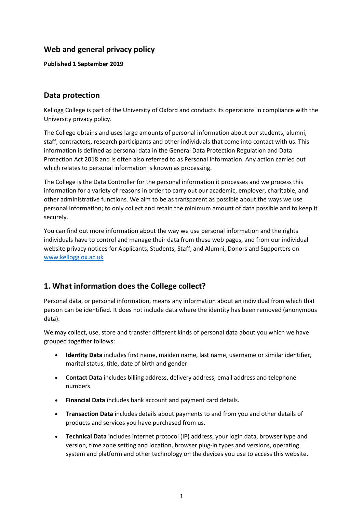# **Web and general privacy policy**

**Published 1 September 2019**

### **Data protection**

Kellogg College is part of the University of Oxford and conducts its operations in compliance with the University privacy policy.

The College obtains and uses large amounts of personal information about our students, alumni, staff, contractors, research participants and other individuals that come into contact with us. This information is defined as personal data in the General Data Protection Regulation and Data Protection Act 2018 and is often also referred to as Personal Information. Any action carried out which relates to personal information is known as processing.

The College is the Data Controller for the personal information it processes and we process this information for a variety of reasons in order to carry out our academic, employer, charitable, and other administrative functions. We aim to be as transparent as possible about the ways we use personal information; to only collect and retain the minimum amount of data possible and to keep it securely.

You can find out more information about the way we use personal information and the rights individuals have to control and manage their data from these web pages, and from our individual website privacy notices for Applicants, Students, Staff, and Alumni, Donors and Supporters on [www.kellogg.ox.ac.uk](http://www.kellogg.ox.ac.uk/)

# **1. What information does the College collect?**

Personal data, or personal information, means any information about an individual from which that person can be identified. It does not include data where the identity has been removed (anonymous data).

We may collect, use, store and transfer different kinds of personal data about you which we have grouped together follows:

- **Identity Data** includes first name, maiden name, last name, username or similar identifier, marital status, title, date of birth and gender.
- **Contact Data** includes billing address, delivery address, email address and telephone numbers.
- **Financial Data** includes bank account and payment card details.
- **Transaction Data** includes details about payments to and from you and other details of products and services you have purchased from us.
- **Technical Data** includes internet protocol (IP) address, your login data, browser type and version, time zone setting and location, browser plug-in types and versions, operating system and platform and other technology on the devices you use to access this website.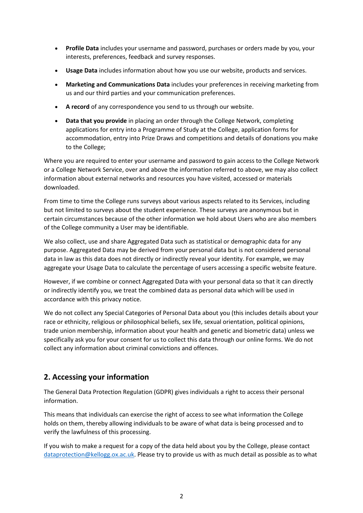- **Profile Data** includes your username and password, purchases or orders made by you, your interests, preferences, feedback and survey responses.
- **Usage Data** includes information about how you use our website, products and services.
- **Marketing and Communications Data** includes your preferences in receiving marketing from us and our third parties and your communication preferences.
- **A record** of any correspondence you send to us through our website.
- **Data that you provide** in placing an order through the College Network, completing applications for entry into a Programme of Study at the College, application forms for accommodation, entry into Prize Draws and competitions and details of donations you make to the College;

Where you are required to enter your username and password to gain access to the College Network or a College Network Service, over and above the information referred to above, we may also collect information about external networks and resources you have visited, accessed or materials downloaded.

From time to time the College runs surveys about various aspects related to its Services, including but not limited to surveys about the student experience. These surveys are anonymous but in certain circumstances because of the other information we hold about Users who are also members of the College community a User may be identifiable.

We also collect, use and share Aggregated Data such as statistical or demographic data for any purpose. Aggregated Data may be derived from your personal data but is not considered personal data in law as this data does not directly or indirectly reveal your identity. For example, we may aggregate your Usage Data to calculate the percentage of users accessing a specific website feature.

However, if we combine or connect Aggregated Data with your personal data so that it can directly or indirectly identify you, we treat the combined data as personal data which will be used in accordance with this privacy notice.

We do not collect any Special Categories of Personal Data about you (this includes details about your race or ethnicity, religious or philosophical beliefs, sex life, sexual orientation, political opinions, trade union membership, information about your health and genetic and biometric data) unless we specifically ask you for your consent for us to collect this data through our online forms. We do not collect any information about criminal convictions and offences.

# **2. Accessing your information**

The General Data Protection Regulation (GDPR) gives individuals a right to access their personal information.

This means that individuals can exercise the right of access to see what information the College holds on them, thereby allowing individuals to be aware of what data is being processed and to verify the lawfulness of this processing.

If you wish to make a request for a copy of the data held about you by the College, please contact [dataprotection@kellogg.ox.ac.uk.](mailto:dataprotection@kellogg.ox.ac.uk) Please try to provide us with as much detail as possible as to what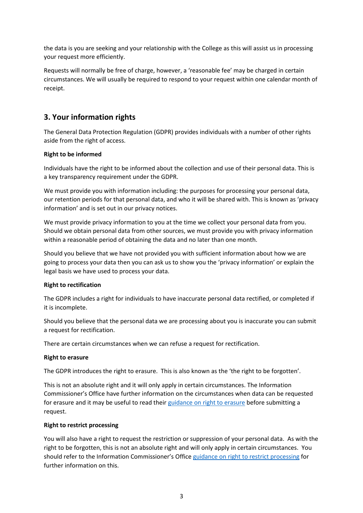the data is you are seeking and your relationship with the College as this will assist us in processing your request more efficiently.

Requests will normally be free of charge, however, a 'reasonable fee' may be charged in certain circumstances. We will usually be required to respond to your request within one calendar month of receipt.

### **3. Your information rights**

The General Data Protection Regulation (GDPR) provides individuals with a number of other rights aside from the right of access.

### **Right to be informed**

Individuals have the right to be informed about the collection and use of their personal data. This is a key transparency requirement under the GDPR.

We must provide you with information including: the purposes for processing your personal data, our retention periods for that personal data, and who it will be shared with. This is known as 'privacy information' and is set out in our privacy notices.

We must provide privacy information to you at the time we collect your personal data from you. Should we obtain personal data from other sources, we must provide you with privacy information within a reasonable period of obtaining the data and no later than one month.

Should you believe that we have not provided you with sufficient information about how we are going to process your data then you can ask us to show you the 'privacy information' or explain the legal basis we have used to process your data.

#### **Right to rectification**

The GDPR includes a right for individuals to have inaccurate personal data rectified, or completed if it is incomplete.

Should you believe that the personal data we are processing about you is inaccurate you can submit a request for rectification.

There are certain circumstances when we can refuse a request for rectification.

#### **Right to erasure**

The GDPR introduces the right to erasure. This is also known as the 'the right to be forgotten'.

This is not an absolute right and it will only apply in certain circumstances. The Information Commissioner's Office have further information on the circumstances when data can be requested for erasure and it may be useful to read thei[r guidance on right to erasure](https://ico.org.uk/for-organisations/guide-to-the-general-data-protection-regulation-gdpr/individual-rights/right-to-erasure/) before submitting a request.

#### **Right to restrict processing**

You will also have a right to request the restriction or suppression of your personal data. As with the right to be forgotten, this is not an absolute right and will only apply in certain circumstances. You should refer to the Information Commissioner's Offic[e guidance on right to restrict processing](https://ico.org.uk/for-organisations/guide-to-the-general-data-protection-regulation-gdpr/individual-rights/right-to-restrict-processing/) for further information on this.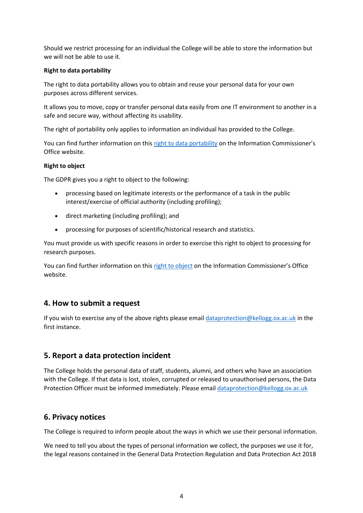Should we restrict processing for an individual the College will be able to store the information but we will not be able to use it.

#### **Right to data portability**

The right to data portability allows you to obtain and reuse your personal data for your own purposes across different services.

It allows you to move, copy or transfer personal data easily from one IT environment to another in a safe and secure way, without affecting its usability.

The right of portability only applies to information an individual has provided to the College.

You can find further information on this [right to data portability](https://ico.org.uk/for-organisations/guide-to-the-general-data-protection-regulation-gdpr/individual-rights/right-to-data-portability/) on the Information Commissioner's Office website.

### **Right to object**

The GDPR gives you a right to object to the following:

- processing based on legitimate interests or the performance of a task in the public interest/exercise of official authority (including profiling);
- direct marketing (including profiling); and
- processing for purposes of scientific/historical research and statistics.

You must provide us with specific reasons in order to exercise this right to object to processing for research purposes.

You can find further information on this [right to object](https://ico.org.uk/for-organisations/guide-to-the-general-data-protection-regulation-gdpr/individual-rights/right-to-object/) on the Information Commissioner's Office website.

### **4. How to submit a request**

If you wish to exercise any of the above rights please email [dataprotection@kellogg.ox.ac.uk](mailto:dataprotection@kellogg.ox.ac.uk) in the first instance.

### **5. Report a data protection incident**

The College holds the personal data of staff, students, alumni, and others who have an association with the College. If that data is lost, stolen, corrupted or released to unauthorised persons, the Data Protection Officer must be informed immediately. Please email [dataprotection@kellogg.ox.ac.uk](mailto:dataprotection@kellogg.ox.ac.uk)

### **6. Privacy notices**

The College is required to inform people about the ways in which we use their personal information.

We need to tell you about the types of personal information we collect, the purposes we use it for, the legal reasons contained in the General Data Protection Regulation and Data Protection Act 2018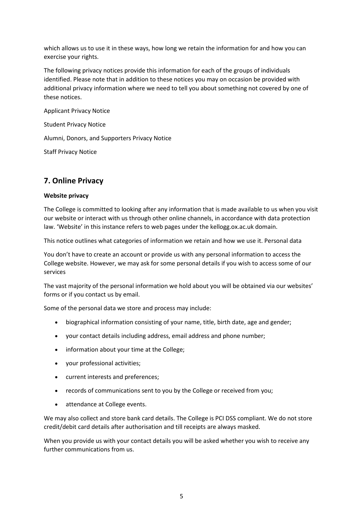which allows us to use it in these ways, how long we retain the information for and how you can exercise your rights.

The following privacy notices provide this information for each of the groups of individuals identified. Please note that in addition to these notices you may on occasion be provided with additional privacy information where we need to tell you about something not covered by one of these notices.

Applicant Privacy Notice

Student Privacy Notice

Alumni, Donors, and Supporters Privacy Notice

Staff Privacy Notice

# **7. Online Privacy**

### **Website privacy**

The College is committed to looking after any information that is made available to us when you visit our website or interact with us through other online channels, in accordance with data protection law. 'Website' in this instance refers to web pages under the kellogg.ox.ac.uk domain.

This notice outlines what categories of information we retain and how we use it. Personal data

You don't have to create an account or provide us with any personal information to access the College website. However, we may ask for some personal details if you wish to access some of our services

The vast majority of the personal information we hold about you will be obtained via our websites' forms or if you contact us by email.

Some of the personal data we store and process may include:

- biographical information consisting of your name, title, birth date, age and gender;
- your contact details including address, email address and phone number;
- information about your time at the College;
- your professional activities;
- current interests and preferences;
- records of communications sent to you by the College or received from you;
- attendance at College events.

We may also collect and store bank card details. The College is PCI DSS compliant. We do not store credit/debit card details after authorisation and till receipts are always masked.

When you provide us with your contact details you will be asked whether you wish to receive any further communications from us.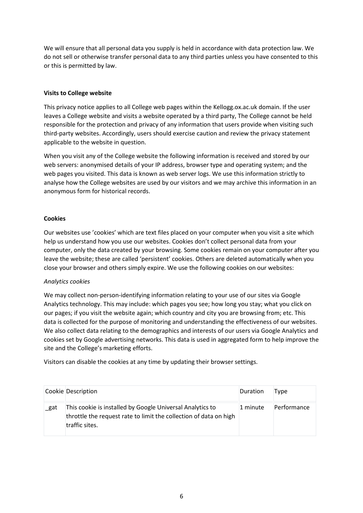We will ensure that all personal data you supply is held in accordance with data protection law. We do not sell or otherwise transfer personal data to any third parties unless you have consented to this or this is permitted by law.

### **Visits to College website**

This privacy notice applies to all College web pages within the Kellogg.ox.ac.uk domain. If the user leaves a College website and visits a website operated by a third party, The College cannot be held responsible for the protection and privacy of any information that users provide when visiting such third-party websites. Accordingly, users should exercise caution and review the privacy statement applicable to the website in question.

When you visit any of the College website the following information is received and stored by our web servers: anonymised details of your IP address, browser type and operating system; and the web pages you visited. This data is known as web server logs. We use this information strictly to analyse how the College websites are used by our visitors and we may archive this information in an anonymous form for historical records.

### **Cookies**

Our websites use 'cookies' which are text files placed on your computer when you visit a site which help us understand how you use our websites. Cookies don't collect personal data from your computer, only the data created by your browsing. Some cookies remain on your computer after you leave the website; these are called 'persistent' cookies. Others are deleted automatically when you close your browser and others simply expire. We use the following cookies on our websites:

#### *Analytics cookies*

We may collect non-person-identifying information relating to your use of our sites via Google Analytics technology. This may include: which pages you see; how long you stay; what you click on our pages; if you visit the website again; which country and city you are browsing from; etc. This data is collected for the purpose of monitoring and understanding the effectiveness of our websites. We also collect data relating to the demographics and interests of our users via Google Analytics and cookies set by Google advertising networks. This data is used in aggregated form to help improve the site and the College's marketing efforts.

Visitors can disable the cookies at any time by updating their browser settings.

|      | Cookie Description                                                                                                                               | Duration | Tvpe        |
|------|--------------------------------------------------------------------------------------------------------------------------------------------------|----------|-------------|
| _gat | This cookie is installed by Google Universal Analytics to<br>throttle the request rate to limit the collection of data on high<br>traffic sites. | 1 minute | Performance |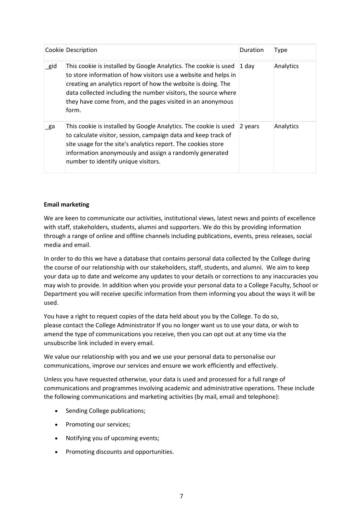|          | Cookie Description                                                                                                                                                                                                                                                                                                                            | Duration | Type      |
|----------|-----------------------------------------------------------------------------------------------------------------------------------------------------------------------------------------------------------------------------------------------------------------------------------------------------------------------------------------------|----------|-----------|
| $\_$ gid | This cookie is installed by Google Analytics. The cookie is used<br>to store information of how visitors use a website and helps in<br>creating an analytics report of how the website is doing. The<br>data collected including the number visitors, the source where<br>they have come from, and the pages visited in an anonymous<br>form. | 1 day    | Analytics |
| _ga      | This cookie is installed by Google Analytics. The cookie is used<br>to calculate visitor, session, campaign data and keep track of<br>site usage for the site's analytics report. The cookies store<br>information anonymously and assign a randomly generated<br>number to identify unique visitors.                                         | 2 years  | Analytics |

### **Email marketing**

We are keen to communicate our activities, institutional views, latest news and points of excellence with staff, stakeholders, students, alumni and supporters. We do this by providing information through a range of online and offline channels including publications, events, press releases, social media and email.

In order to do this we have a database that contains personal data collected by the College during the course of our relationship with our stakeholders, staff, students, and alumni. We aim to keep your data up to date and welcome any updates to your details or corrections to any inaccuracies you may wish to provide. In addition when you provide your personal data to a College Faculty, School or Department you will receive specific information from them informing you about the ways it will be used.

You have a right to request copies of the data held about you by the College. To do so, please contact the College Administrator If you no longer want us to use your data, or wish to amend the type of communications you receive, then you can opt out at any time via the unsubscribe link included in every email.

We value our relationship with you and we use your personal data to personalise our communications, improve our services and ensure we work efficiently and effectively.

Unless you have requested otherwise, your data is used and processed for a full range of communications and programmes involving academic and administrative operations. These include the following communications and marketing activities (by mail, email and telephone):

- Sending College publications;
- Promoting our services;
- Notifying you of upcoming events;
- Promoting discounts and opportunities.